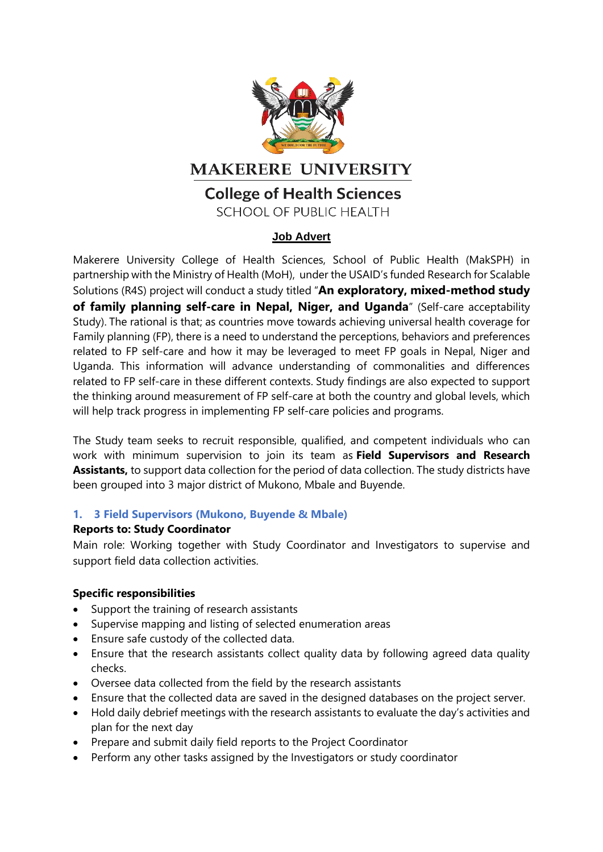

## **MAKERERE UNIVERSITY**

# **College of Health Sciences**

**SCHOOL OF PUBLIC HEALTH** 

## **Job Advert**

Makerere University College of Health Sciences, School of Public Health (MakSPH) in partnership with the Ministry of Health (MoH), under the USAID's funded Research for Scalable Solutions (R4S) project will conduct a study titled "**An exploratory, mixed-method study of family planning self-care in Nepal, Niger, and Uganda**" (Self-care acceptability Study). The rational is that; as countries move towards achieving universal health coverage for Family planning (FP), there is a need to understand the perceptions, behaviors and preferences related to FP self-care and how it may be leveraged to meet FP goals in Nepal, Niger and Uganda. This information will advance understanding of commonalities and differences related to FP self-care in these different contexts. Study findings are also expected to support the thinking around measurement of FP self-care at both the country and global levels, which will help track progress in implementing FP self-care policies and programs.

The Study team seeks to recruit responsible, qualified, and competent individuals who can work with minimum supervision to join its team as **Field Supervisors and Research Assistants,** to support data collection for the period of data collection. The study districts have been grouped into 3 major district of Mukono, Mbale and Buyende.

## **1. 3 Field Supervisors (Mukono, Buyende & Mbale)**

## **Reports to: Study Coordinator**

Main role: Working together with Study Coordinator and Investigators to supervise and support field data collection activities.

## **Specific responsibilities**

- Support the training of research assistants
- Supervise mapping and listing of selected enumeration areas
- Ensure safe custody of the collected data.
- Ensure that the research assistants collect quality data by following agreed data quality checks.
- Oversee data collected from the field by the research assistants
- Ensure that the collected data are saved in the designed databases on the project server.
- Hold daily debrief meetings with the research assistants to evaluate the day's activities and plan for the next day
- Prepare and submit daily field reports to the Project Coordinator
- Perform any other tasks assigned by the Investigators or study coordinator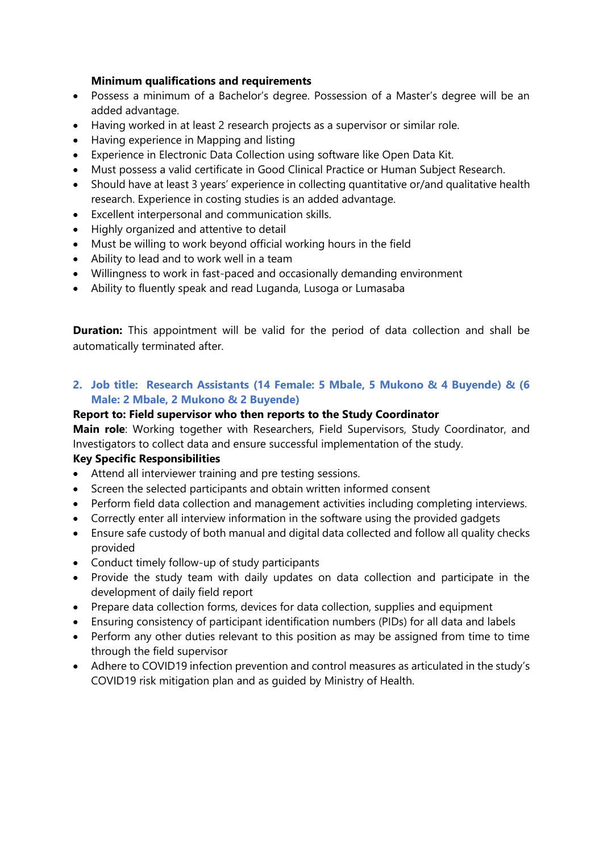#### **Minimum qualifications and requirements**

- Possess a minimum of a Bachelor's degree. Possession of a Master's degree will be an added advantage.
- Having worked in at least 2 research projects as a supervisor or similar role.
- Having experience in Mapping and listing
- Experience in Electronic Data Collection using software like Open Data Kit.
- Must possess a valid certificate in Good Clinical Practice or Human Subject Research.
- Should have at least 3 years' experience in collecting quantitative or/and qualitative health research. Experience in costing studies is an added advantage.
- Excellent interpersonal and communication skills.
- Highly organized and attentive to detail
- Must be willing to work beyond official working hours in the field
- Ability to lead and to work well in a team
- Willingness to work in fast-paced and occasionally demanding environment
- Ability to fluently speak and read Luganda, Lusoga or Lumasaba

**Duration:** This appointment will be valid for the period of data collection and shall be automatically terminated after.

**2. Job title: Research Assistants (14 Female: 5 Mbale, 5 Mukono & 4 Buyende) & (6 Male: 2 Mbale, 2 Mukono & 2 Buyende)**

## **Report to: Field supervisor who then reports to the Study Coordinator**

**Main role**: Working together with Researchers, Field Supervisors, Study Coordinator, and Investigators to collect data and ensure successful implementation of the study.

## **Key Specific Responsibilities**

- Attend all interviewer training and pre testing sessions.
- Screen the selected participants and obtain written informed consent
- Perform field data collection and management activities including completing interviews.
- Correctly enter all interview information in the software using the provided gadgets
- Ensure safe custody of both manual and digital data collected and follow all quality checks provided
- Conduct timely follow-up of study participants
- Provide the study team with daily updates on data collection and participate in the development of daily field report
- Prepare data collection forms, devices for data collection, supplies and equipment
- Ensuring consistency of participant identification numbers (PIDs) for all data and labels
- Perform any other duties relevant to this position as may be assigned from time to time through the field supervisor
- Adhere to COVID19 infection prevention and control measures as articulated in the study's COVID19 risk mitigation plan and as guided by Ministry of Health.